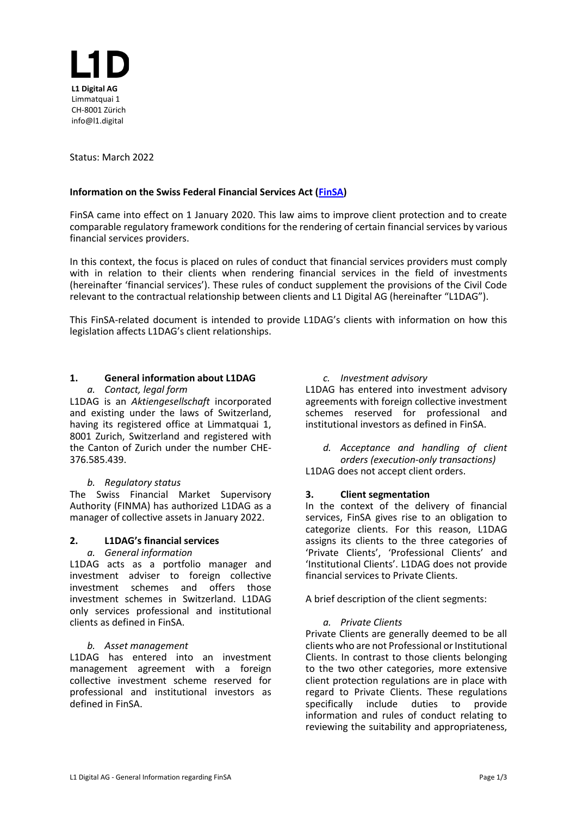

Status: March 2022

### **Information on the Swiss Federal Financial Services Act [\(FinSA\)](https://www.fedlex.admin.ch/eli/cc/2019/758/en)**

FinSA came into effect on 1 January 2020. This law aims to improve client protection and to create comparable regulatory framework conditions for the rendering of certain financial services by various financial services providers.

In this context, the focus is placed on rules of conduct that financial services providers must comply with in relation to their clients when rendering financial services in the field of investments (hereinafter 'financial services'). These rules of conduct supplement the provisions of the Civil Code relevant to the contractual relationship between clients and L1 Digital AG (hereinafter "L1DAG").

This FinSA-related document is intended to provide L1DAG's clients with information on how this legislation affects L1DAG's client relationships.

#### **1. General information about L1DAG** *a. Contact, legal form*

L1DAG is an *Aktiengesellschaft* incorporated and existing under the laws of Switzerland, having its registered office at Limmatquai 1, 8001 Zurich, Switzerland and registered with the Canton of Zurich under the number CHE-376.585.439.

### *b. Regulatory status*

The Swiss Financial Market Supervisory Authority (FINMA) has authorized L1DAG as a manager [of collective assets](https://finma.ch/en/authorisation/asset-management/asset-managers-of-collective-investment-schemes/) in January 2022.

### **2. L1DAG's financial services**

### *a. General information*

L1DAG acts as a portfolio manager and investment adviser to foreign collective investment schemes and offers those investment schemes in Switzerland. L1DAG only services professional and institutional clients as defined in FinSA.

### *b. Asset management*

L1DAG has entered into an investment management agreement with a foreign collective investment scheme reserved for professional and institutional investors as defined in FinSA.

### *c. Investment advisory*

L1DAG has entered into investment advisory agreements with foreign collective investment schemes reserved for professional and institutional investors as defined in FinSA.

*d. Acceptance and handling of client orders (execution-only transactions)* L1DAG does not accept client orders.

### **3. Client segmentation**

In the context of the delivery of financial services, FinSA gives rise to an obligation to categorize clients. For this reason, L1DAG assigns its clients to the three categories of 'Private Clients', 'Professional Clients' and 'Institutional Clients'. L1DAG does not provide financial services to Private Clients.

A brief description of the client segments:

### *a. Private Clients*

Private Clients are generally deemed to be all clients who are not Professional or Institutional Clients. In contrast to those clients belonging to the two other categories, more extensive client protection regulations are in place with regard to Private Clients. These regulations specifically include duties to provide information and rules of conduct relating to reviewing the suitability and appropriateness,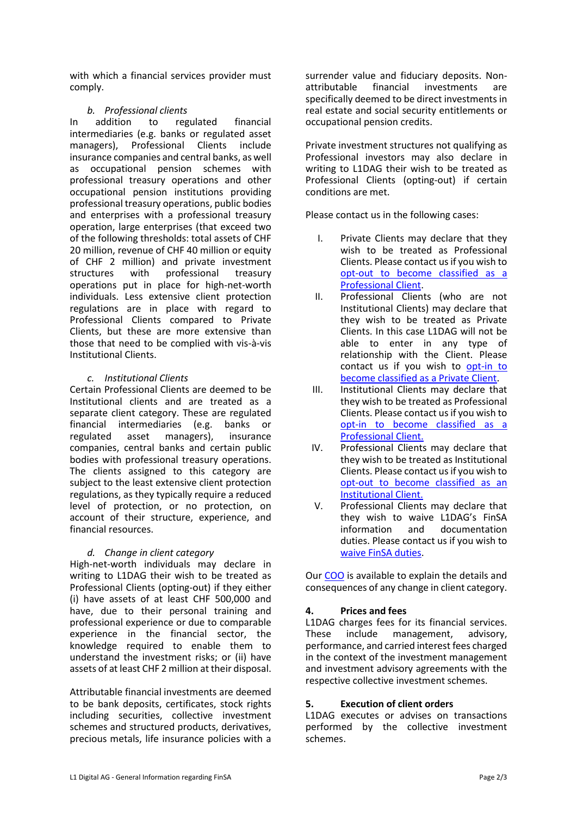with which a financial services provider must comply.

## *b. Professional clients*

In addition to regulated financial intermediaries (e.g. banks or regulated asset managers), Professional Clients include insurance companies and central banks, as well as occupational pension schemes with professional treasury operations and other occupational pension institutions providing professional treasury operations, public bodies and enterprises with a professional treasury operation, large enterprises (that exceed two of the following thresholds: total assets of CHF 20 million, revenue of CHF 40 million or equity of CHF 2 million) and private investment structures with professional treasury operations put in place for high-net-worth individuals. Less extensive client protection regulations are in place with regard to Professional Clients compared to Private Clients, but these are more extensive than those that need to be complied with vis-à-vis Institutional Clients.

### *c. Institutional Clients*

Certain Professional Clients are deemed to be Institutional clients and are treated as a separate client category. These are regulated financial intermediaries (e.g. banks or regulated asset managers), insurance companies, central banks and certain public bodies with professional treasury operations. The clients assigned to this category are subject to the least extensive client protection regulations, as they typically require a reduced level of protection, or no protection, on account of their structure, experience, and financial resources.

### *d. Change in client category*

High-net-worth individuals may declare in writing to L1DAG their wish to be treated as Professional Clients (opting-out) if they either (i) have assets of at least CHF 500,000 and have, due to their personal training and professional experience or due to comparable experience in the financial sector, the knowledge required to enable them to understand the investment risks; or (ii) have assets of at least CHF 2 million at their disposal.

Attributable financial investments are deemed to be bank deposits, certificates, stock rights including securities, collective investment schemes and structured products, derivatives, precious metals, life insurance policies with a

surrender value and fiduciary deposits. Nonattributable financial investments are specifically deemed to be direct investments in real estate and social security entitlements or occupational pension credits.

Private investment structures not qualifying as Professional investors may also declare in writing to L1DAG their wish to be treated as Professional Clients (opting-out) if certain conditions are met.

Please contact us in the following cases:

- I. Private Clients may declare that they wish to be treated as Professional Clients. Please contact us if you wish to [opt-out to become classified as](mailto:andrea@l1.digital?subject=L1D%20-%20please%20send%20me%20the%20form%20to%20opt-out%20and%20become%20classified%20as%20a%20Professional%20Client%20as%20per%20FinSA) a [Professional Client.](mailto:andrea@l1.digital?subject=L1D%20-%20please%20send%20me%20the%20form%20to%20opt-out%20and%20become%20classified%20as%20a%20Professional%20Client%20as%20per%20FinSA)
- II. Professional Clients (who are not Institutional Clients) may declare that they wish to be treated as Private Clients. In this case L1DAG will not be able to enter in any type of relationship with the Client. Please contact us if you wish to [opt-in to](mailto:andrea@l1.digital?subject=L1D%20-%20please%20send%20me%20the%20form%20to%20opt-in%20and%20become%20classified%20as%20a%20Private%20Client%20as%20per%20FinSA)  [become classified as a Private Client.](mailto:andrea@l1.digital?subject=L1D%20-%20please%20send%20me%20the%20form%20to%20opt-in%20and%20become%20classified%20as%20a%20Private%20Client%20as%20per%20FinSA)
- III. Institutional Clients may declare that they wish to be treated as Professional Clients. Please contact us if you wish to opt-in [to become classified as a](mailto:andrea@l1.digital?subject=L1D%20-%20please%20send%20me%20the%20form%20to%20opt-in%20and%20become%20classified%20as%20a%20Professional%20Client%20as%20per%20FinSA)  [Professional Client.](mailto:andrea@l1.digital?subject=L1D%20-%20please%20send%20me%20the%20form%20to%20opt-in%20and%20become%20classified%20as%20a%20Professional%20Client%20as%20per%20FinSA)
- IV. Professional Clients may declare that they wish to be treated as Institutional Clients. Please contact us if you wish to opt-out [to become classified as an](mailto:andrea@l1.digital?subject=L1D%20-%20please%20send%20me%20the%20form%20to%20opt-out%20and%20become%20classified%20as%20a%20Institutional%20Client%20as%20per%20FinSA)  [Institutional](mailto:andrea@l1.digital?subject=L1D%20-%20please%20send%20me%20the%20form%20to%20opt-out%20and%20become%20classified%20as%20a%20Institutional%20Client%20as%20per%20FinSA) Client.
- V. Professional Clients may declare that they wish to waive L1DAG's FinSA<br>information and documentation information and documentation duties. Please contact us if you wish to [waive FinSA duties.](mailto:andrea@l1.digital?subject=L1D%20-%20request%20to%20waive%20L1DAG)

Our [COO](mailto:andrea@bornatico.com?subject=L1D%20-%20Change%20in%20category) is available to explain the details and consequences of any change in client category.

# **4. Prices and fees**

L1DAG charges fees for its financial services. These include management, advisory, performance, and carried interest fees charged in the context of the investment management and investment advisory agreements with the respective collective investment schemes.

### **5. Execution of client orders**

L1DAG executes or advises on transactions performed by the collective investment schemes.